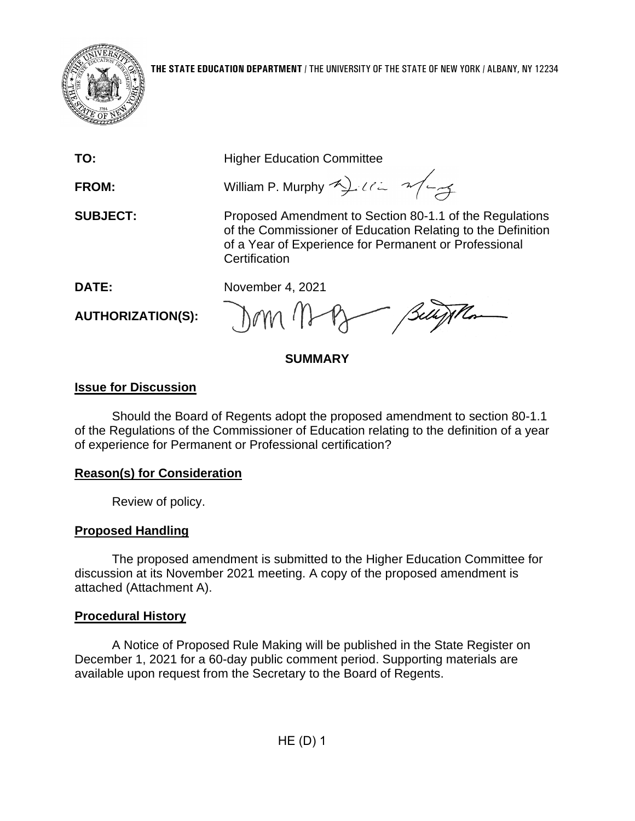

**TO:** Higher Education Committee

**FROM:** William P. Murphy 4) ULL 2/4

**SUBJECT:** Proposed Amendment to Section 80-1.1 of the Regulations of the Commissioner of Education Relating to the Definition of a Year of Experience for Permanent or Professional **Certification** 

**DATE:** November 4, 2021

**AUTHORIZATION(S):**

# **SUMMARY**

### **Issue for Discussion**

Should the Board of Regents adopt the proposed amendment to section 80-1.1 of the Regulations of the Commissioner of Education relating to the definition of a year of experience for Permanent or Professional certification?

# **Reason(s) for Consideration**

Review of policy.

# **Proposed Handling**

The proposed amendment is submitted to the Higher Education Committee for discussion at its November 2021 meeting. A copy of the proposed amendment is attached (Attachment A).

# **Procedural History**

A Notice of Proposed Rule Making will be published in the State Register on December 1, 2021 for a 60-day public comment period. Supporting materials are available upon request from the Secretary to the Board of Regents.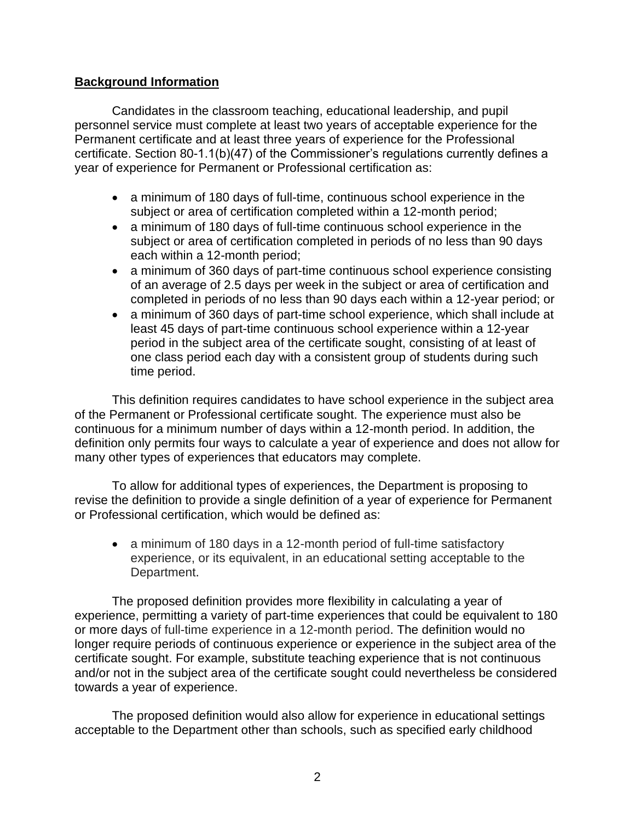### **Background Information**

Candidates in the classroom teaching, educational leadership, and pupil personnel service must complete at least two years of acceptable experience for the Permanent certificate and at least three years of experience for the Professional certificate. Section 80-1.1(b)(47) of the Commissioner's regulations currently defines a year of experience for Permanent or Professional certification as:

- a minimum of 180 days of full-time, continuous school experience in the subject or area of certification completed within a 12-month period;
- a minimum of 180 days of full-time continuous school experience in the subject or area of certification completed in periods of no less than 90 days each within a 12-month period;
- a minimum of 360 days of part-time continuous school experience consisting of an average of 2.5 days per week in the subject or area of certification and completed in periods of no less than 90 days each within a 12-year period; or
- a minimum of 360 days of part-time school experience, which shall include at least 45 days of part-time continuous school experience within a 12-year period in the subject area of the certificate sought, consisting of at least of one class period each day with a consistent group of students during such time period.

This definition requires candidates to have school experience in the subject area of the Permanent or Professional certificate sought. The experience must also be continuous for a minimum number of days within a 12-month period. In addition, the definition only permits four ways to calculate a year of experience and does not allow for many other types of experiences that educators may complete.

To allow for additional types of experiences, the Department is proposing to revise the definition to provide a single definition of a year of experience for Permanent or Professional certification, which would be defined as:

• a minimum of 180 days in a 12-month period of full-time satisfactory experience, or its equivalent, in an educational setting acceptable to the Department.

The proposed definition provides more flexibility in calculating a year of experience, permitting a variety of part-time experiences that could be equivalent to 180 or more days of full-time experience in a 12-month period. The definition would no longer require periods of continuous experience or experience in the subject area of the certificate sought. For example, substitute teaching experience that is not continuous and/or not in the subject area of the certificate sought could nevertheless be considered towards a year of experience.

The proposed definition would also allow for experience in educational settings acceptable to the Department other than schools, such as specified early childhood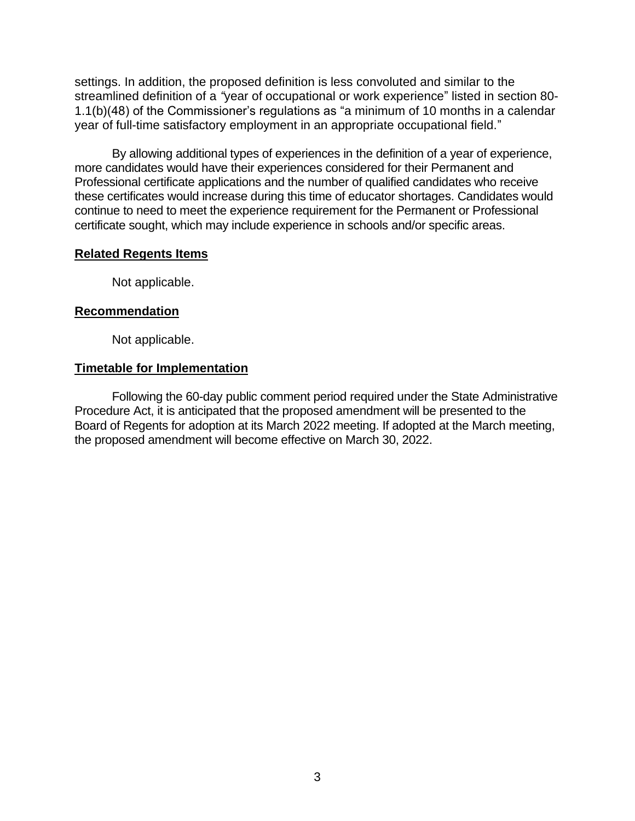settings. In addition, the proposed definition is less convoluted and similar to the streamlined definition of a *"*year of occupational or work experience" listed in section 80- 1.1(b)(48) of the Commissioner's regulations as "a minimum of 10 months in a calendar year of full-time satisfactory employment in an appropriate occupational field."

By allowing additional types of experiences in the definition of a year of experience, more candidates would have their experiences considered for their Permanent and Professional certificate applications and the number of qualified candidates who receive these certificates would increase during this time of educator shortages. Candidates would continue to need to meet the experience requirement for the Permanent or Professional certificate sought, which may include experience in schools and/or specific areas.

### **Related Regents Items**

Not applicable.

### **Recommendation**

Not applicable.

### **Timetable for Implementation**

Following the 60-day public comment period required under the State Administrative Procedure Act, it is anticipated that the proposed amendment will be presented to the Board of Regents for adoption at its March 2022 meeting. If adopted at the March meeting, the proposed amendment will become effective on March 30, 2022.